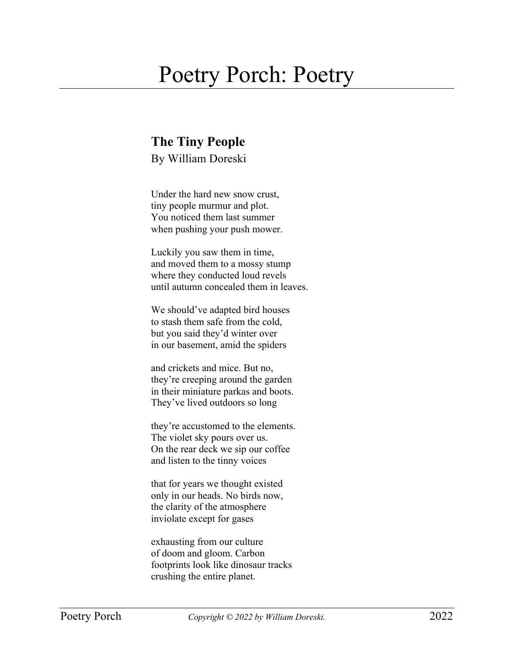## Poetry Porch: Poetry

## **The Tiny People**

By William Doreski

Under the hard new snow crust, tiny people murmur and plot. You noticed them last summer when pushing your push mower.

Luckily you saw them in time, and moved them to a mossy stump where they conducted loud revels until autumn concealed them in leaves.

We should've adapted bird houses to stash them safe from the cold, but you said they'd winter over in our basement, amid the spiders

and crickets and mice. But no, they're creeping around the garden in their miniature parkas and boots. They've lived outdoors so long

they're accustomed to the elements. The violet sky pours over us. On the rear deck we sip our coffee and listen to the tinny voices

that for years we thought existed only in our heads. No birds now, the clarity of the atmosphere inviolate except for gases

exhausting from our culture of doom and gloom. Carbon footprints look like dinosaur tracks crushing the entire planet.